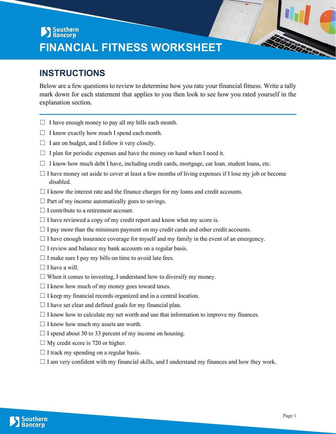## Southern<br>Bancorp **FINANCIAL FITNESS WORKSHEET**

## **INSTRUCTIONS**

Below are a few questions to review to determine how you rate your financial fitness. Write a tally mark down for each statement that applies to you then look to see how you rated yourself in the explanation section.

- $\Box$  I have enough money to pay all my bills each month.
- $\Box$  I know exactly how much I spend each month.
- $\Box$  I am on budget, and I follow it very closely.
- $\Box$  I plan for periodic expenses and have the money on hand when I need it.
- $\Box$  I know how much debt I have, including credit cards, mortgage, car loan, student loans, etc.
- $\Box$  I have money set aside to cover at least a few months of living expenses if I lose my job or become disabled.
- $\Box$  I know the interest rate and the finance charges for my loans and credit accounts.
- $\Box$  Part of my income automatically goes to savings.
- $\Box$  I contribute to a retirement account.
- $\Box$  I have reviewed a copy of my credit report and know what my score is.
- $\Box$  I pay more than the minimum payment on my credit cards and other credit accounts.
- $\Box$  I have enough insurance coverage for myself and my family in the event of an emergency.
- $\Box$  I review and balance my bank accounts on a regular basis.
- $\Box$  I make sure I pay my bills on time to avoid late fees.
- $\Box$  I have a will.
- $\Box$  When it comes to investing, I understand how to diversify my money.
- $\Box$  I know how much of my money goes toward taxes.
- $\Box$  I keep my financial records organized and in a central location.
- $\Box$  I have set clear and defined goals for my financial plan.
- $\Box$  I know how to calculate my net worth and use that information to improve my finances.
- $\Box$  I know how much my assets are worth.
- $\Box$  I spend about 30 to 33 percent of my income on housing.
- $\Box$  My credit score is 720 or higher.
- $\Box$  I track my spending on a regular basis.
- $\Box$  I am very confident with my financial skills, and I understand my finances and how they work.